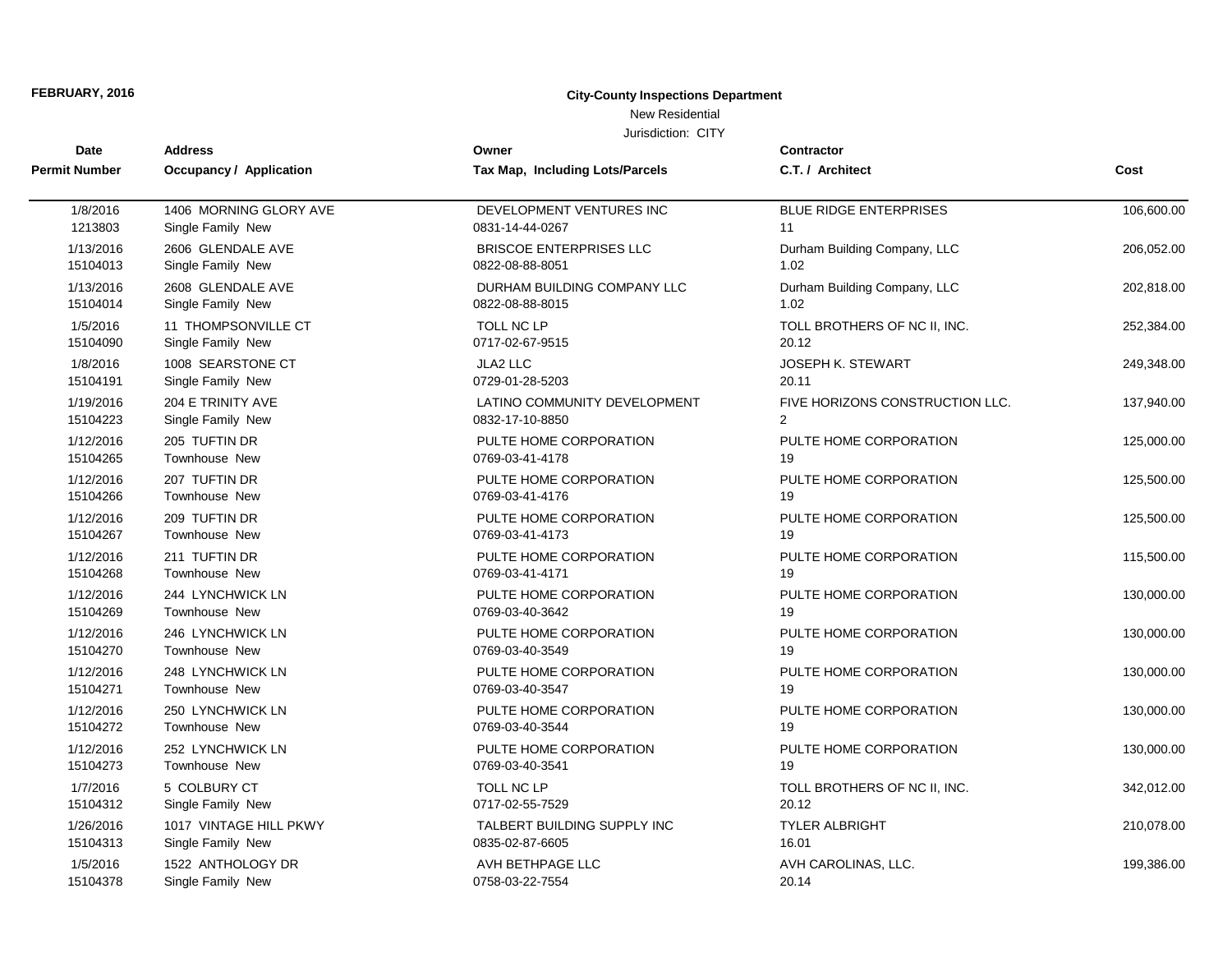## New Residential

| Date                 | <b>Address</b>                 | Owner                           | <b>Contractor</b>               | Cost       |
|----------------------|--------------------------------|---------------------------------|---------------------------------|------------|
| <b>Permit Number</b> | <b>Occupancy / Application</b> | Tax Map, Including Lots/Parcels | C.T. / Architect                |            |
|                      |                                |                                 |                                 |            |
| 1/8/2016             | 1406 MORNING GLORY AVE         | DEVELOPMENT VENTURES INC        | <b>BLUE RIDGE ENTERPRISES</b>   | 106,600.00 |
| 1213803              | Single Family New              | 0831-14-44-0267                 | 11                              |            |
| 1/13/2016            | 2606 GLENDALE AVE              | <b>BRISCOE ENTERPRISES LLC</b>  | Durham Building Company, LLC    | 206,052.00 |
| 15104013             | Single Family New              | 0822-08-88-8051                 | 1.02                            |            |
| 1/13/2016            | 2608 GLENDALE AVE              | DURHAM BUILDING COMPANY LLC     | Durham Building Company, LLC    | 202,818.00 |
| 15104014             | Single Family New              | 0822-08-88-8015                 | 1.02                            |            |
| 1/5/2016             | 11 THOMPSONVILLE CT            | TOLL NC LP                      | TOLL BROTHERS OF NC II, INC.    | 252,384.00 |
| 15104090             | Single Family New              | 0717-02-67-9515                 | 20.12                           |            |
| 1/8/2016             | 1008 SEARSTONE CT              | JLA2 LLC                        | <b>JOSEPH K. STEWART</b>        | 249,348.00 |
| 15104191             | Single Family New              | 0729-01-28-5203                 | 20.11                           |            |
| 1/19/2016            | 204 E TRINITY AVE              | LATINO COMMUNITY DEVELOPMENT    | FIVE HORIZONS CONSTRUCTION LLC. | 137,940.00 |
| 15104223             | Single Family New              | 0832-17-10-8850                 | $\overline{2}$                  |            |
| 1/12/2016            | 205 TUFTIN DR                  | PULTE HOME CORPORATION          | PULTE HOME CORPORATION          | 125,000.00 |
| 15104265             | Townhouse New                  | 0769-03-41-4178                 | 19                              |            |
| 1/12/2016            | 207 TUFTIN DR                  | PULTE HOME CORPORATION          | PULTE HOME CORPORATION          | 125,500.00 |
| 15104266             | Townhouse New                  | 0769-03-41-4176                 | 19                              |            |
| 1/12/2016            | 209 TUFTIN DR                  | PULTE HOME CORPORATION          | PULTE HOME CORPORATION          | 125,500.00 |
| 15104267             | Townhouse New                  | 0769-03-41-4173                 | 19                              |            |
| 1/12/2016            | 211 TUFTIN DR                  | PULTE HOME CORPORATION          | PULTE HOME CORPORATION          | 115,500.00 |
| 15104268             | Townhouse New                  | 0769-03-41-4171                 | 19                              |            |
| 1/12/2016            | 244 LYNCHWICK LN               | PULTE HOME CORPORATION          | PULTE HOME CORPORATION          | 130,000.00 |
| 15104269             | Townhouse New                  | 0769-03-40-3642                 | 19                              |            |
| 1/12/2016            | 246 LYNCHWICK LN               | PULTE HOME CORPORATION          | PULTE HOME CORPORATION          | 130,000.00 |
| 15104270             | Townhouse New                  | 0769-03-40-3549                 | 19                              |            |
| 1/12/2016            | 248 LYNCHWICK LN               | PULTE HOME CORPORATION          | PULTE HOME CORPORATION          | 130,000.00 |
| 15104271             | Townhouse New                  | 0769-03-40-3547                 | 19                              |            |
| 1/12/2016            | 250 LYNCHWICK LN               | PULTE HOME CORPORATION          | PULTE HOME CORPORATION          | 130,000.00 |
| 15104272             | Townhouse New                  | 0769-03-40-3544                 | 19                              |            |
| 1/12/2016            | 252 LYNCHWICK LN               | PULTE HOME CORPORATION          | PULTE HOME CORPORATION          | 130,000.00 |
| 15104273             | <b>Townhouse New</b>           | 0769-03-40-3541                 | 19                              |            |
| 1/7/2016             | 5 COLBURY CT                   | <b>TOLL NC LP</b>               | TOLL BROTHERS OF NC II, INC.    | 342,012.00 |
| 15104312             | Single Family New              | 0717-02-55-7529                 | 20.12                           |            |
| 1/26/2016            | 1017 VINTAGE HILL PKWY         | TALBERT BUILDING SUPPLY INC     | <b>TYLER ALBRIGHT</b>           | 210,078.00 |
| 15104313             | Single Family New              | 0835-02-87-6605                 | 16.01                           |            |
| 1/5/2016             | 1522 ANTHOLOGY DR              | AVH BETHPAGE LLC                | AVH CAROLINAS, LLC.             | 199,386.00 |
| 15104378             | Single Family New              | 0758-03-22-7554                 | 20.14                           |            |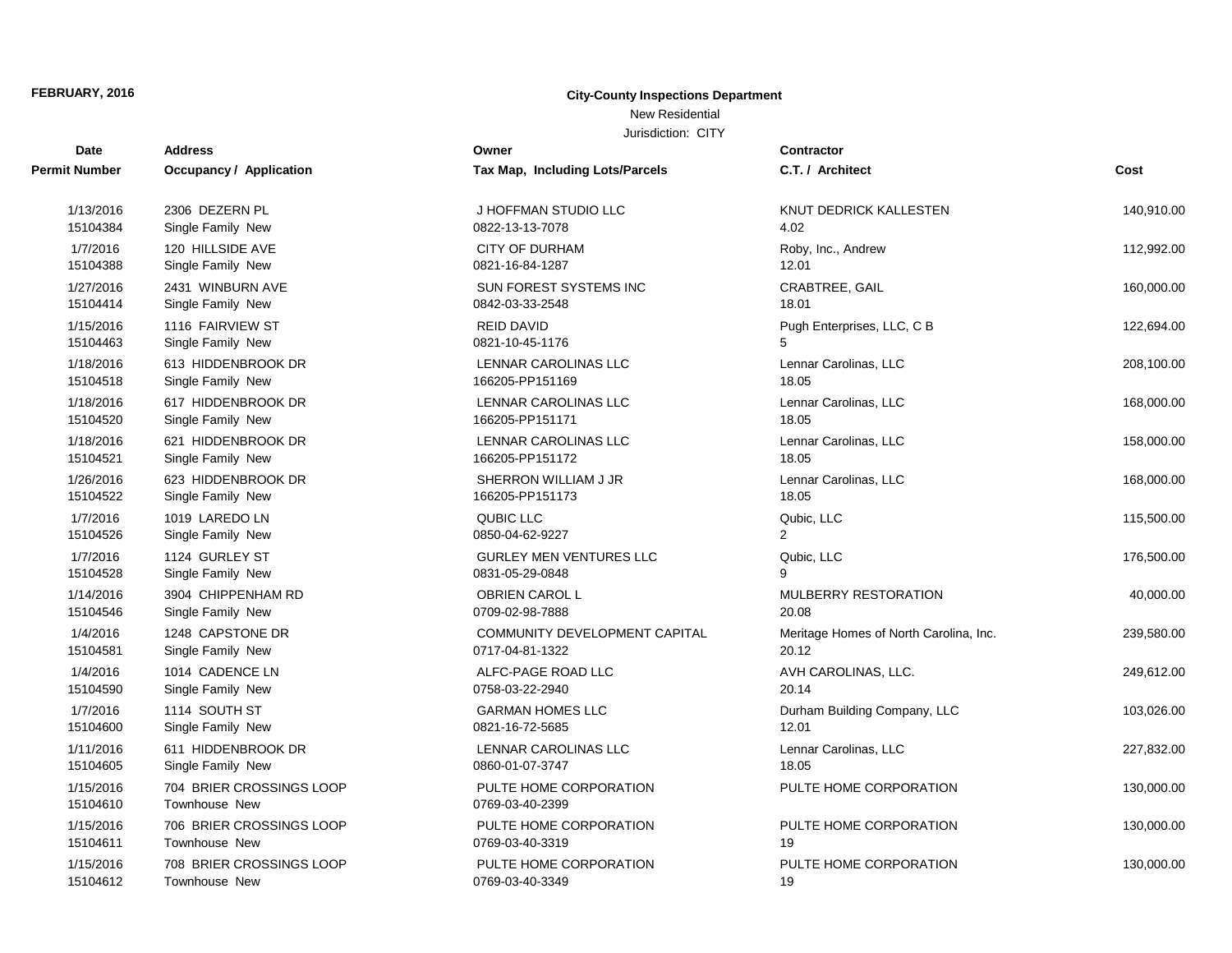## New Residential

| Date                  | <b>Address</b>                                   | Owner                                     | <b>Contractor</b>                      |            |
|-----------------------|--------------------------------------------------|-------------------------------------------|----------------------------------------|------------|
| Permit Number         | <b>Occupancy / Application</b>                   | Tax Map, Including Lots/Parcels           | C.T. / Architect                       | Cost       |
| 1/13/2016             | 2306 DEZERN PL                                   | J HOFFMAN STUDIO LLC                      | KNUT DEDRICK KALLESTEN                 | 140,910.00 |
| 15104384              | Single Family New                                | 0822-13-13-7078                           | 4.02                                   |            |
| 1/7/2016              | 120 HILLSIDE AVE                                 | <b>CITY OF DURHAM</b>                     | Roby, Inc., Andrew                     | 112,992.00 |
| 15104388              | Single Family New                                | 0821-16-84-1287                           | 12.01                                  |            |
| 1/27/2016             | 2431 WINBURN AVE                                 | SUN FOREST SYSTEMS INC                    | CRABTREE, GAIL                         | 160,000.00 |
| 15104414              | Single Family New                                | 0842-03-33-2548                           | 18.01                                  |            |
| 1/15/2016             | 1116 FAIRVIEW ST                                 | <b>REID DAVID</b>                         | Pugh Enterprises, LLC, C B             | 122,694.00 |
| 15104463              | Single Family New                                | 0821-10-45-1176                           | 5                                      |            |
| 1/18/2016             | 613 HIDDENBROOK DR                               | LENNAR CAROLINAS LLC                      | Lennar Carolinas, LLC                  | 208,100.00 |
| 15104518              | Single Family New                                | 166205-PP151169                           | 18.05                                  |            |
| 1/18/2016             | 617 HIDDENBROOK DR                               | LENNAR CAROLINAS LLC                      | Lennar Carolinas, LLC                  | 168,000.00 |
| 15104520              | Single Family New                                | 166205-PP151171                           | 18.05                                  |            |
| 1/18/2016             | 621 HIDDENBROOK DR                               | LENNAR CAROLINAS LLC                      | Lennar Carolinas, LLC                  | 158,000.00 |
| 15104521              | Single Family New                                | 166205-PP151172                           | 18.05                                  |            |
| 1/26/2016             | 623 HIDDENBROOK DR                               | SHERRON WILLIAM J JR                      | Lennar Carolinas, LLC                  | 168,000.00 |
| 15104522              | Single Family New                                | 166205-PP151173                           | 18.05                                  |            |
| 1/7/2016              | 1019 LAREDO LN                                   | <b>QUBIC LLC</b>                          | Qubic, LLC                             | 115,500.00 |
| 15104526              | Single Family New                                | 0850-04-62-9227                           | $\overline{2}$                         |            |
| 1/7/2016              | 1124 GURLEY ST                                   | <b>GURLEY MEN VENTURES LLC</b>            | Qubic, LLC                             | 176,500.00 |
| 15104528              | Single Family New                                | 0831-05-29-0848                           | 9                                      |            |
| 1/14/2016             | 3904 CHIPPENHAM RD                               | <b>OBRIEN CAROL L</b>                     | MULBERRY RESTORATION                   | 40,000.00  |
| 15104546              | Single Family New                                | 0709-02-98-7888                           | 20.08                                  |            |
| 1/4/2016              | 1248 CAPSTONE DR                                 | COMMUNITY DEVELOPMENT CAPITAL             | Meritage Homes of North Carolina, Inc. | 239,580.00 |
| 15104581              | Single Family New                                | 0717-04-81-1322                           | 20.12                                  |            |
| 1/4/2016              | 1014 CADENCE LN                                  | ALFC-PAGE ROAD LLC                        | AVH CAROLINAS, LLC.                    | 249,612.00 |
| 15104590              | Single Family New                                | 0758-03-22-2940                           | 20.14                                  |            |
| 1/7/2016              | 1114 SOUTH ST                                    | <b>GARMAN HOMES LLC</b>                   | Durham Building Company, LLC           | 103,026.00 |
| 15104600              | Single Family New                                | 0821-16-72-5685                           | 12.01                                  |            |
| 1/11/2016             | 611 HIDDENBROOK DR                               | LENNAR CAROLINAS LLC                      | Lennar Carolinas, LLC                  | 227,832.00 |
| 15104605              | Single Family New                                | 0860-01-07-3747                           | 18.05                                  |            |
| 1/15/2016<br>15104610 | 704 BRIER CROSSINGS LOOP<br><b>Townhouse New</b> | PULTE HOME CORPORATION<br>0769-03-40-2399 | PULTE HOME CORPORATION                 | 130,000.00 |
| 1/15/2016             | 706 BRIER CROSSINGS LOOP                         | PULTE HOME CORPORATION                    | PULTE HOME CORPORATION                 | 130,000.00 |
| 15104611              | <b>Townhouse New</b>                             | 0769-03-40-3319                           | 19                                     |            |
| 1/15/2016             | 708 BRIER CROSSINGS LOOP                         | PULTE HOME CORPORATION                    | PULTE HOME CORPORATION                 | 130,000.00 |
| 15104612              | <b>Townhouse New</b>                             | 0769-03-40-3349                           | 19                                     |            |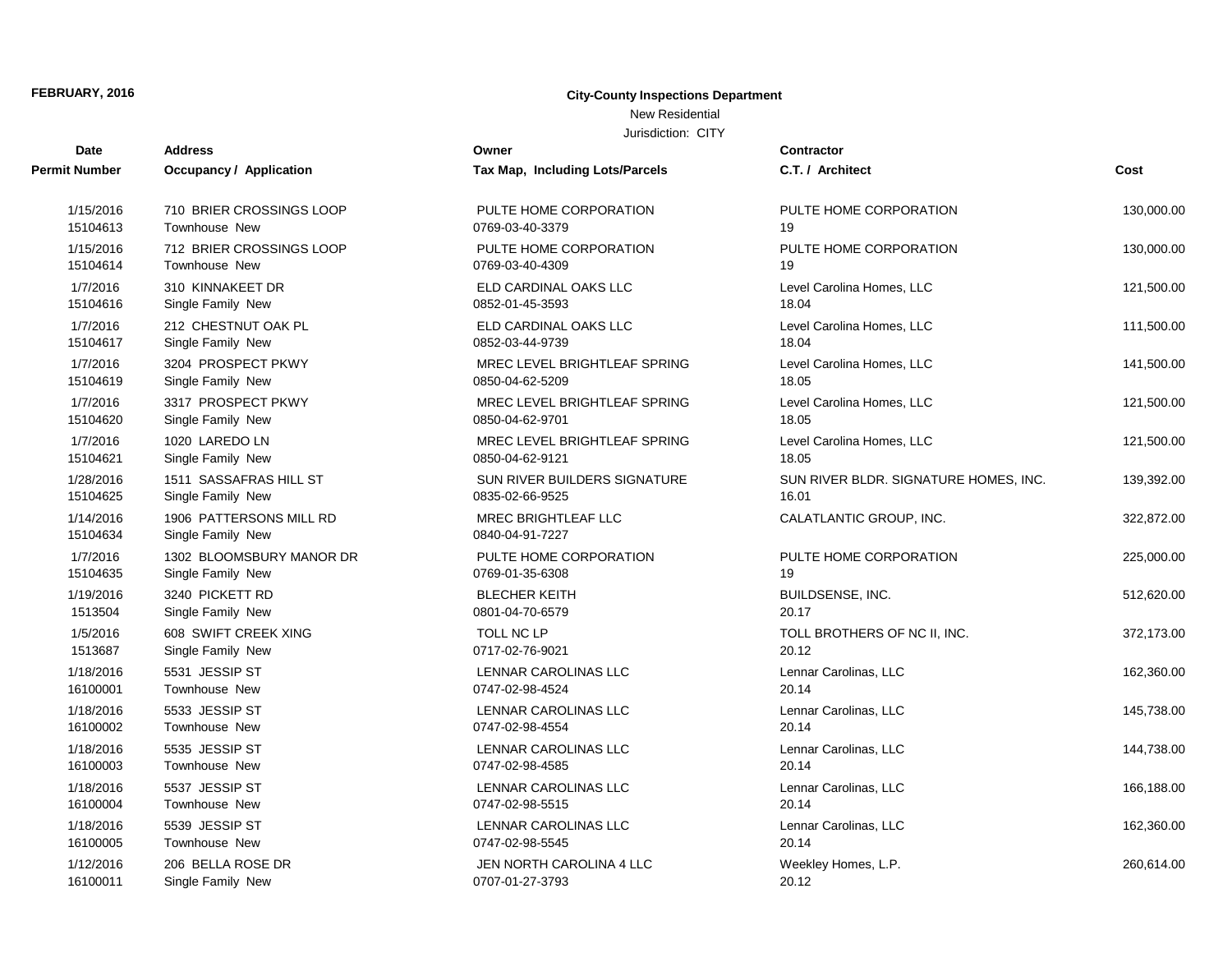## New Residential

| <b>Date</b>           | <b>Address</b>                               | Owner                                         | <b>Contractor</b>                     |            |
|-----------------------|----------------------------------------------|-----------------------------------------------|---------------------------------------|------------|
| Permit Number         | <b>Occupancy / Application</b>               | Tax Map, Including Lots/Parcels               | C.T. / Architect                      | Cost       |
| 1/15/2016             | 710 BRIER CROSSINGS LOOP                     | PULTE HOME CORPORATION                        | PULTE HOME CORPORATION                | 130.000.00 |
| 15104613              | <b>Townhouse New</b>                         | 0769-03-40-3379                               | 19                                    |            |
| 1/15/2016             | 712 BRIER CROSSINGS LOOP                     | PULTE HOME CORPORATION                        | PULTE HOME CORPORATION                | 130,000.00 |
| 15104614              | <b>Townhouse New</b>                         | 0769-03-40-4309                               | 19                                    |            |
| 1/7/2016              | 310 KINNAKEET DR                             | ELD CARDINAL OAKS LLC                         | Level Carolina Homes, LLC             | 121,500.00 |
| 15104616              | Single Family New                            | 0852-01-45-3593                               | 18.04                                 |            |
| 1/7/2016              | 212 CHESTNUT OAK PL                          | ELD CARDINAL OAKS LLC                         | Level Carolina Homes, LLC             | 111,500.00 |
| 15104617              | Single Family New                            | 0852-03-44-9739                               | 18.04                                 |            |
| 1/7/2016              | 3204 PROSPECT PKWY                           | MREC LEVEL BRIGHTLEAF SPRING                  | Level Carolina Homes, LLC             | 141,500.00 |
| 15104619              | Single Family New                            | 0850-04-62-5209                               | 18.05                                 |            |
| 1/7/2016              | 3317 PROSPECT PKWY                           | MREC LEVEL BRIGHTLEAF SPRING                  | Level Carolina Homes, LLC             | 121,500.00 |
| 15104620              | Single Family New                            | 0850-04-62-9701                               | 18.05                                 |            |
| 1/7/2016              | 1020 LAREDO LN                               | MREC LEVEL BRIGHTLEAF SPRING                  | Level Carolina Homes, LLC             | 121,500.00 |
| 15104621              | Single Family New                            | 0850-04-62-9121                               | 18.05                                 |            |
| 1/28/2016             | 1511 SASSAFRAS HILL ST                       | SUN RIVER BUILDERS SIGNATURE                  | SUN RIVER BLDR. SIGNATURE HOMES, INC. | 139,392.00 |
| 15104625              | Single Family New                            | 0835-02-66-9525                               | 16.01                                 |            |
| 1/14/2016<br>15104634 | 1906 PATTERSONS MILL RD<br>Single Family New | <b>MREC BRIGHTLEAF LLC</b><br>0840-04-91-7227 | CALATLANTIC GROUP, INC.               | 322,872.00 |
| 1/7/2016              | 1302 BLOOMSBURY MANOR DR                     | PULTE HOME CORPORATION                        | PULTE HOME CORPORATION                | 225,000.00 |
| 15104635              | Single Family New                            | 0769-01-35-6308                               | 19                                    |            |
| 1/19/2016             | 3240 PICKETT RD                              | <b>BLECHER KEITH</b>                          | BUILDSENSE, INC.                      | 512,620.00 |
| 1513504               | Single Family New                            | 0801-04-70-6579                               | 20.17                                 |            |
| 1/5/2016              | 608 SWIFT CREEK XING                         | <b>TOLL NC LP</b>                             | TOLL BROTHERS OF NC II, INC.          | 372,173.00 |
| 1513687               | Single Family New                            | 0717-02-76-9021                               | 20.12                                 |            |
| 1/18/2016             | 5531 JESSIP ST                               | LENNAR CAROLINAS LLC                          | Lennar Carolinas, LLC                 | 162,360.00 |
| 16100001              | <b>Townhouse New</b>                         | 0747-02-98-4524                               | 20.14                                 |            |
| 1/18/2016             | 5533 JESSIP ST                               | LENNAR CAROLINAS LLC                          | Lennar Carolinas, LLC                 | 145,738.00 |
| 16100002              | <b>Townhouse New</b>                         | 0747-02-98-4554                               | 20.14                                 |            |
| 1/18/2016             | 5535 JESSIP ST                               | LENNAR CAROLINAS LLC                          | Lennar Carolinas, LLC                 | 144,738.00 |
| 16100003              | Townhouse New                                | 0747-02-98-4585                               | 20.14                                 |            |
| 1/18/2016             | 5537 JESSIP ST                               | LENNAR CAROLINAS LLC                          | Lennar Carolinas, LLC                 | 166,188.00 |
| 16100004              | <b>Townhouse New</b>                         | 0747-02-98-5515                               | 20.14                                 |            |
| 1/18/2016             | 5539 JESSIP ST                               | <b>LENNAR CAROLINAS LLC</b>                   | Lennar Carolinas, LLC                 | 162,360.00 |
| 16100005              | Townhouse New                                | 0747-02-98-5545                               | 20.14                                 |            |
| 1/12/2016             | 206 BELLA ROSE DR                            | <b>JEN NORTH CAROLINA 4 LLC</b>               | Weekley Homes, L.P.                   | 260,614.00 |
| 16100011              | Single Family New                            | 0707-01-27-3793                               | 20.12                                 |            |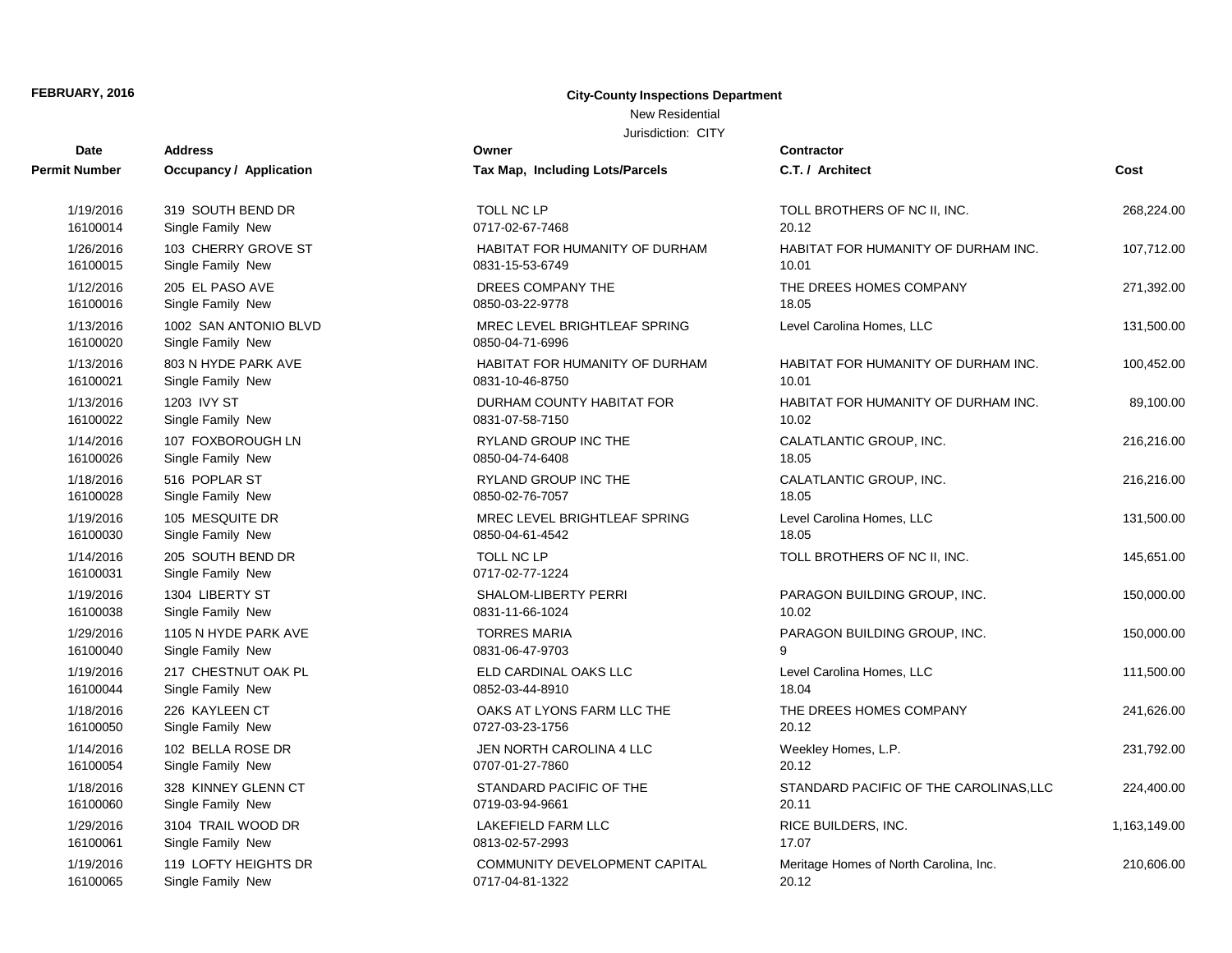## New Residential

| Date                  | <b>Address</b>                             | Owner                                           | Contractor                             |              |
|-----------------------|--------------------------------------------|-------------------------------------------------|----------------------------------------|--------------|
| <b>Permit Number</b>  | Occupancy / Application                    | <b>Tax Map, Including Lots/Parcels</b>          | C.T. / Architect                       | Cost         |
| 1/19/2016             | 319 SOUTH BEND DR                          | <b>TOLL NC LP</b>                               | TOLL BROTHERS OF NC II, INC.           | 268,224.00   |
| 16100014              | Single Family New                          | 0717-02-67-7468                                 | 20.12                                  |              |
| 1/26/2016             | 103 CHERRY GROVE ST                        | <b>HABITAT FOR HUMANITY OF DURHAM</b>           | HABITAT FOR HUMANITY OF DURHAM INC.    | 107,712.00   |
| 16100015              | Single Family New                          | 0831-15-53-6749                                 | 10.01                                  |              |
| 1/12/2016             | 205 EL PASO AVE                            | DREES COMPANY THE                               | THE DREES HOMES COMPANY                | 271,392.00   |
| 16100016              | Single Family New                          | 0850-03-22-9778                                 | 18.05                                  |              |
| 1/13/2016<br>16100020 | 1002 SAN ANTONIO BLVD<br>Single Family New | MREC LEVEL BRIGHTLEAF SPRING<br>0850-04-71-6996 | Level Carolina Homes, LLC              | 131,500.00   |
| 1/13/2016             | 803 N HYDE PARK AVE                        | HABITAT FOR HUMANITY OF DURHAM                  | HABITAT FOR HUMANITY OF DURHAM INC.    | 100,452.00   |
| 16100021              | Single Family New                          | 0831-10-46-8750                                 | 10.01                                  |              |
| 1/13/2016             | 1203 IVY ST                                | DURHAM COUNTY HABITAT FOR                       | HABITAT FOR HUMANITY OF DURHAM INC.    | 89,100.00    |
| 16100022              | Single Family New                          | 0831-07-58-7150                                 | 10.02                                  |              |
| 1/14/2016             | 107 FOXBOROUGH LN                          | RYLAND GROUP INC THE                            | CALATLANTIC GROUP, INC.                | 216,216.00   |
| 16100026              | Single Family New                          | 0850-04-74-6408                                 | 18.05                                  |              |
| 1/18/2016             | 516 POPLAR ST                              | RYLAND GROUP INC THE                            | CALATLANTIC GROUP, INC.                | 216,216.00   |
| 16100028              | Single Family New                          | 0850-02-76-7057                                 | 18.05                                  |              |
| 1/19/2016             | 105 MESQUITE DR                            | MREC LEVEL BRIGHTLEAF SPRING                    | Level Carolina Homes, LLC              | 131,500.00   |
| 16100030              | Single Family New                          | 0850-04-61-4542                                 | 18.05                                  |              |
| 1/14/2016<br>16100031 | 205 SOUTH BEND DR<br>Single Family New     | TOLL NC LP<br>0717-02-77-1224                   | TOLL BROTHERS OF NC II, INC.           | 145,651.00   |
| 1/19/2016             | 1304 LIBERTY ST                            | <b>SHALOM-LIBERTY PERRI</b>                     | PARAGON BUILDING GROUP, INC.           | 150,000.00   |
| 16100038              | Single Family New                          | 0831-11-66-1024                                 | 10.02                                  |              |
| 1/29/2016             | 1105 N HYDE PARK AVE                       | <b>TORRES MARIA</b>                             | PARAGON BUILDING GROUP, INC.           | 150,000.00   |
| 16100040              | Single Family New                          | 0831-06-47-9703                                 | 9                                      |              |
| 1/19/2016             | 217 CHESTNUT OAK PL                        | ELD CARDINAL OAKS LLC                           | Level Carolina Homes, LLC              | 111,500.00   |
| 16100044              | Single Family New                          | 0852-03-44-8910                                 | 18.04                                  |              |
| 1/18/2016             | 226 KAYLEEN CT                             | OAKS AT LYONS FARM LLC THE                      | THE DREES HOMES COMPANY                | 241,626.00   |
| 16100050              | Single Family New                          | 0727-03-23-1756                                 | 20.12                                  |              |
| 1/14/2016             | 102 BELLA ROSE DR                          | JEN NORTH CAROLINA 4 LLC                        | Weekley Homes, L.P.                    | 231,792.00   |
| 16100054              | Single Family New                          | 0707-01-27-7860                                 | 20.12                                  |              |
| 1/18/2016             | 328 KINNEY GLENN CT                        | STANDARD PACIFIC OF THE                         | STANDARD PACIFIC OF THE CAROLINAS, LLC | 224,400.00   |
| 16100060              | Single Family New                          | 0719-03-94-9661                                 | 20.11                                  |              |
| 1/29/2016             | 3104 TRAIL WOOD DR                         | LAKEFIELD FARM LLC                              | RICE BUILDERS, INC.                    | 1,163,149.00 |
| 16100061              | Single Family New                          | 0813-02-57-2993                                 | 17.07                                  |              |
| 1/19/2016             | 119 LOFTY HEIGHTS DR                       | COMMUNITY DEVELOPMENT CAPITAL                   | Meritage Homes of North Carolina, Inc. | 210,606.00   |
| 16100065              | Single Family New                          | 0717-04-81-1322                                 | 20.12                                  |              |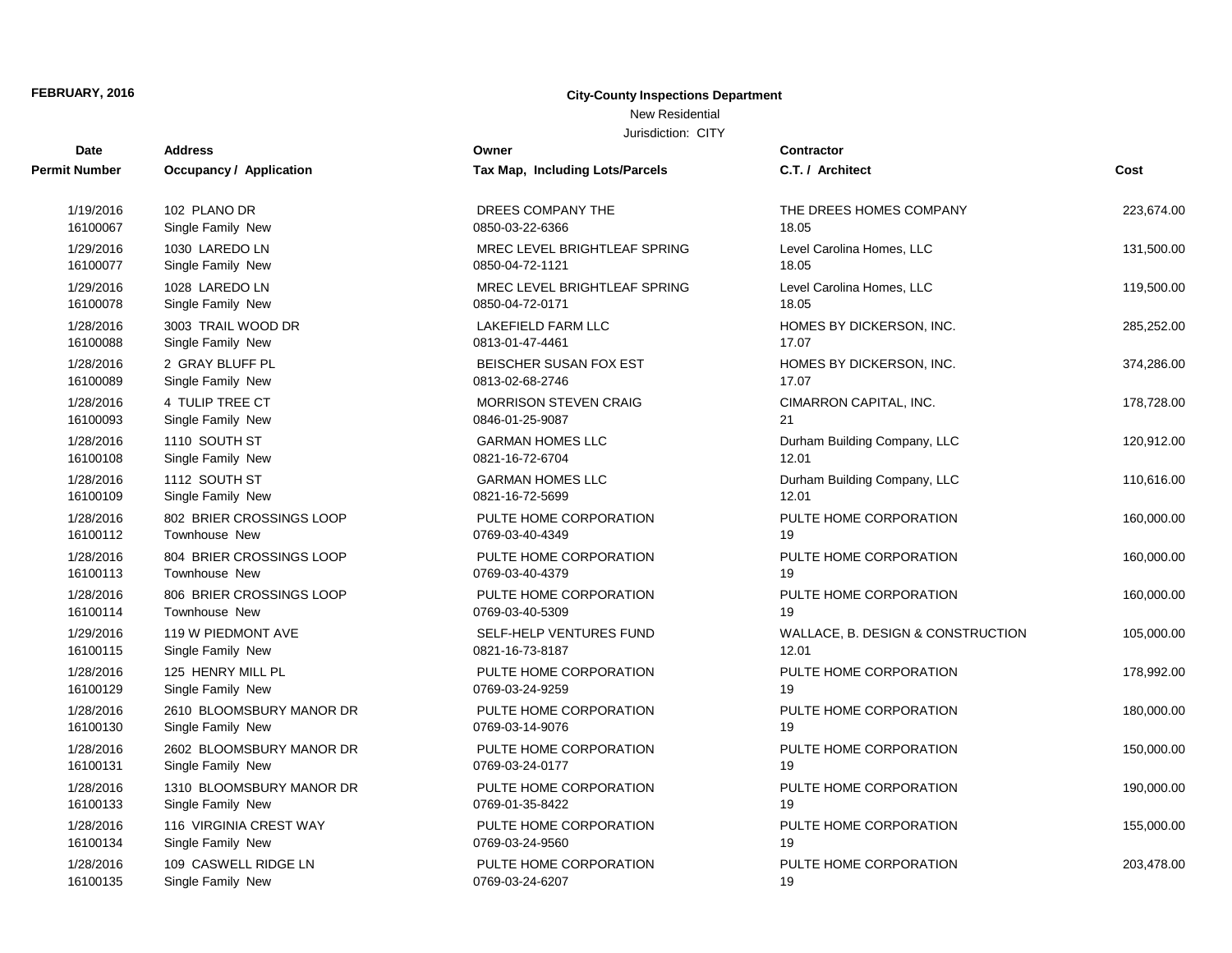## New Residential

| Date          | <b>Address</b>                 | Owner                           | Contractor                        |            |
|---------------|--------------------------------|---------------------------------|-----------------------------------|------------|
| Permit Number | <b>Occupancy / Application</b> | Tax Map, Including Lots/Parcels | C.T. / Architect                  | Cost       |
| 1/19/2016     | 102 PLANO DR                   | DREES COMPANY THE               | THE DREES HOMES COMPANY           | 223,674.00 |
| 16100067      | Single Family New              | 0850-03-22-6366                 | 18.05                             |            |
| 1/29/2016     | 1030 LAREDO LN                 | MREC LEVEL BRIGHTLEAF SPRING    | Level Carolina Homes, LLC         | 131,500.00 |
| 16100077      | Single Family New              | 0850-04-72-1121                 | 18.05                             |            |
| 1/29/2016     | 1028 LAREDO LN                 | MREC LEVEL BRIGHTLEAF SPRING    | Level Carolina Homes, LLC         | 119,500.00 |
| 16100078      | Single Family New              | 0850-04-72-0171                 | 18.05                             |            |
| 1/28/2016     | 3003 TRAIL WOOD DR             | <b>LAKEFIELD FARM LLC</b>       | HOMES BY DICKERSON, INC.          | 285,252.00 |
| 16100088      | Single Family New              | 0813-01-47-4461                 | 17.07                             |            |
| 1/28/2016     | 2 GRAY BLUFF PL                | BEISCHER SUSAN FOX EST          | HOMES BY DICKERSON, INC.          | 374,286.00 |
| 16100089      | Single Family New              | 0813-02-68-2746                 | 17.07                             |            |
| 1/28/2016     | 4 TULIP TREE CT                | <b>MORRISON STEVEN CRAIG</b>    | CIMARRON CAPITAL, INC.            | 178,728.00 |
| 16100093      | Single Family New              | 0846-01-25-9087                 | 21                                |            |
| 1/28/2016     | 1110 SOUTH ST                  | <b>GARMAN HOMES LLC</b>         | Durham Building Company, LLC      | 120,912.00 |
| 16100108      | Single Family New              | 0821-16-72-6704                 | 12.01                             |            |
| 1/28/2016     | 1112 SOUTH ST                  | <b>GARMAN HOMES LLC</b>         | Durham Building Company, LLC      | 110,616.00 |
| 16100109      | Single Family New              | 0821-16-72-5699                 | 12.01                             |            |
| 1/28/2016     | 802 BRIER CROSSINGS LOOP       | PULTE HOME CORPORATION          | PULTE HOME CORPORATION            | 160,000.00 |
| 16100112      | Townhouse New                  | 0769-03-40-4349                 | 19                                |            |
| 1/28/2016     | 804 BRIER CROSSINGS LOOP       | PULTE HOME CORPORATION          | PULTE HOME CORPORATION            | 160,000.00 |
| 16100113      | <b>Townhouse New</b>           | 0769-03-40-4379                 | 19                                |            |
| 1/28/2016     | 806 BRIER CROSSINGS LOOP       | PULTE HOME CORPORATION          | PULTE HOME CORPORATION            | 160,000.00 |
| 16100114      | <b>Townhouse New</b>           | 0769-03-40-5309                 | 19                                |            |
| 1/29/2016     | 119 W PIEDMONT AVE             | SELF-HELP VENTURES FUND         | WALLACE, B. DESIGN & CONSTRUCTION | 105,000.00 |
| 16100115      | Single Family New              | 0821-16-73-8187                 | 12.01                             |            |
| 1/28/2016     | 125 HENRY MILL PL              | PULTE HOME CORPORATION          | PULTE HOME CORPORATION            | 178,992.00 |
| 16100129      | Single Family New              | 0769-03-24-9259                 | 19                                |            |
| 1/28/2016     | 2610 BLOOMSBURY MANOR DR       | PULTE HOME CORPORATION          | PULTE HOME CORPORATION            | 180,000.00 |
| 16100130      | Single Family New              | 0769-03-14-9076                 | 19                                |            |
| 1/28/2016     | 2602 BLOOMSBURY MANOR DR       | PULTE HOME CORPORATION          | PULTE HOME CORPORATION            | 150,000.00 |
| 16100131      | Single Family New              | 0769-03-24-0177                 | 19                                |            |
| 1/28/2016     | 1310 BLOOMSBURY MANOR DR       | PULTE HOME CORPORATION          | PULTE HOME CORPORATION            | 190,000.00 |
| 16100133      | Single Family New              | 0769-01-35-8422                 | 19                                |            |
| 1/28/2016     | 116 VIRGINIA CREST WAY         | PULTE HOME CORPORATION          | PULTE HOME CORPORATION            | 155,000.00 |
| 16100134      | Single Family New              | 0769-03-24-9560                 | 19                                |            |
| 1/28/2016     | 109 CASWELL RIDGE LN           | PULTE HOME CORPORATION          | PULTE HOME CORPORATION            | 203,478.00 |
| 16100135      | Single Family New              | 0769-03-24-6207                 | 19                                |            |